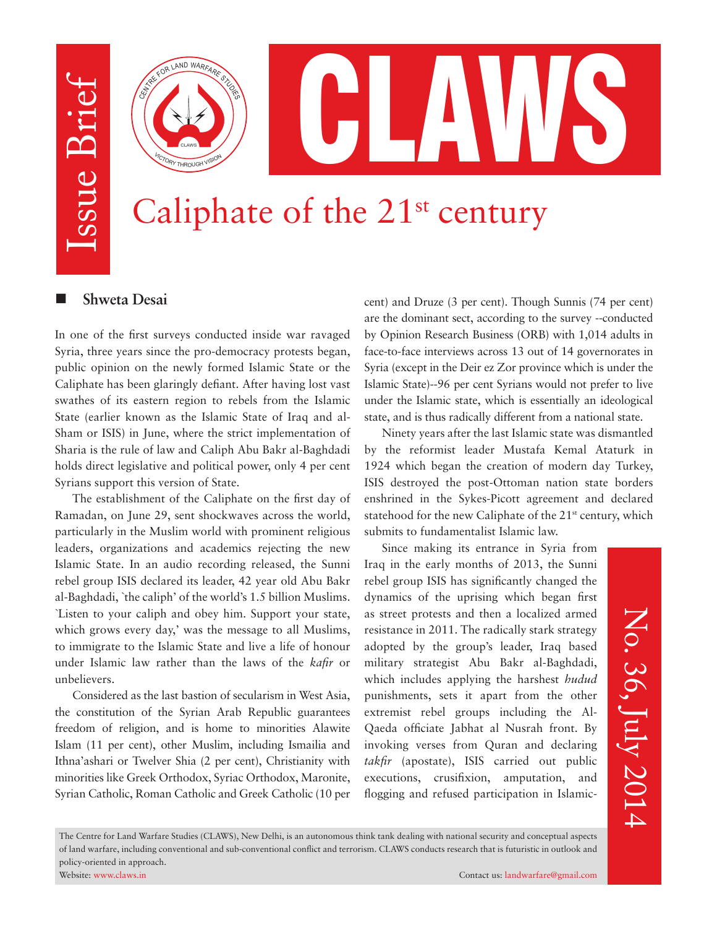Issue Brief Issue Brief



# Caliphate of the  $21^{st}$  century

### **n** Shweta Desai

In one of the first surveys conducted inside war ravaged Syria, three years since the pro-democracy protests began, public opinion on the newly formed Islamic State or the Caliphate has been glaringly defiant. After having lost vast swathes of its eastern region to rebels from the Islamic State (earlier known as the Islamic State of Iraq and al-Sham or ISIS) in June, where the strict implementation of Sharia is the rule of law and Caliph Abu Bakr al-Baghdadi holds direct legislative and political power, only 4 per cent Syrians support this version of State.

The establishment of the Caliphate on the first day of Ramadan, on June 29, sent shockwaves across the world, particularly in the Muslim world with prominent religious leaders, organizations and academics rejecting the new Islamic State. In an audio recording released, the Sunni rebel group ISIS declared its leader, 42 year old Abu Bakr al-Baghdadi, `the caliph' of the world's 1.5 billion Muslims. `Listen to your caliph and obey him. Support your state, which grows every day,' was the message to all Muslims, to immigrate to the Islamic State and live a life of honour under Islamic law rather than the laws of the *kafir* or unbelievers.

Considered as the last bastion of secularism in West Asia, the constitution of the Syrian Arab Republic guarantees freedom of religion, and is home to minorities Alawite Islam (11 per cent), other Muslim, including Ismailia and Ithna'ashari or Twelver Shia (2 per cent), Christianity with minorities like Greek Orthodox, Syriac Orthodox, Maronite, Syrian Catholic, Roman Catholic and Greek Catholic (10 per cent) and Druze (3 per cent). Though Sunnis (74 per cent) are the dominant sect, according to the survey --conducted by Opinion Research Business (ORB) with 1,014 adults in face-to-face interviews across 13 out of 14 governorates in Syria (except in the Deir ez Zor province which is under the Islamic State)--96 per cent Syrians would not prefer to live under the Islamic state, which is essentially an ideological state, and is thus radically different from a national state.

Ninety years after the last Islamic state was dismantled by the reformist leader Mustafa Kemal Ataturk in 1924 which began the creation of modern day Turkey, ISIS destroyed the post-Ottoman nation state borders enshrined in the Sykes-Picott agreement and declared statehood for the new Caliphate of the 21<sup>st</sup> century, which submits to fundamentalist Islamic law.

Since making its entrance in Syria from Iraq in the early months of 2013, the Sunni rebel group ISIS has significantly changed the dynamics of the uprising which began first as street protests and then a localized armed resistance in 2011. The radically stark strategy adopted by the group's leader, Iraq based military strategist Abu Bakr al-Baghdadi, which includes applying the harshest *hudud* punishments, sets it apart from the other extremist rebel groups including the Al-Qaeda officiate Jabhat al Nusrah front. By invoking verses from Quran and declaring *takfir* (apostate), ISIS carried out public executions, crusifixion, amputation, and flogging and refused participation in Islamic-

No. 36, July 2014 No. 36, July 2014

The Centre for Land Warfare Studies (CLAWS), New Delhi, is an autonomous think tank dealing with national security and conceptual aspects of land warfare, including conventional and sub-conventional conflict and terrorism. CLAWS conducts research that is futuristic in outlook and policy-oriented in approach.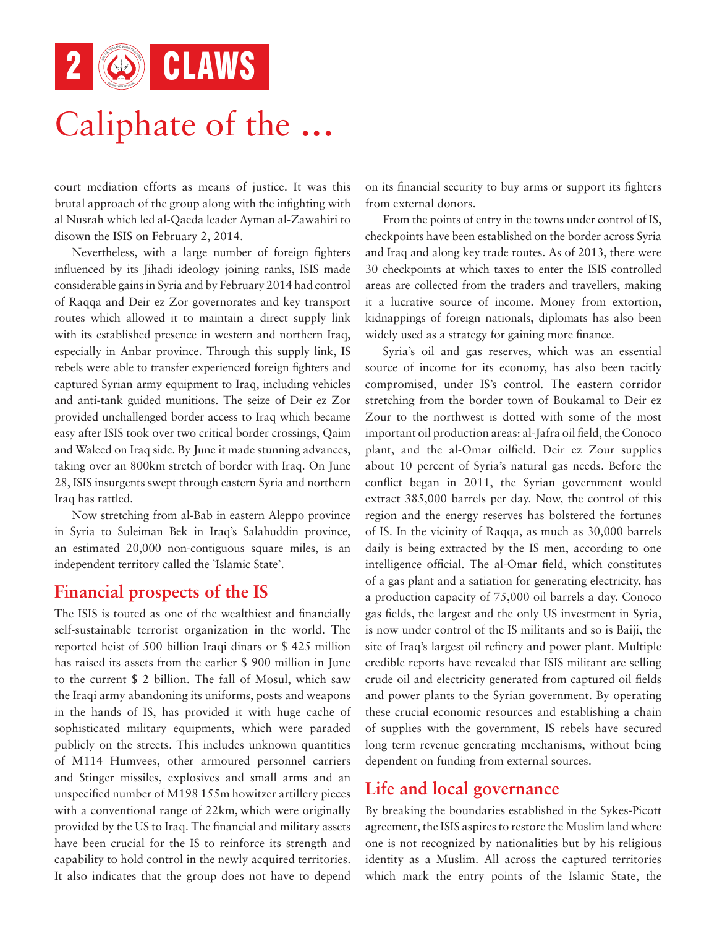2 **6** CLAWS

## Caliphate of the ...

court mediation efforts as means of justice. It was this brutal approach of the group along with the infighting with al Nusrah which led al-Qaeda leader Ayman al-Zawahiri to disown the ISIS on February 2, 2014.

Nevertheless, with a large number of foreign fighters influenced by its Jihadi ideology joining ranks, ISIS made considerable gains in Syria and by February 2014 had control of Raqqa and Deir ez Zor governorates and key transport routes which allowed it to maintain a direct supply link with its established presence in western and northern Iraq, especially in Anbar province. Through this supply link, IS rebels were able to transfer experienced foreign fighters and captured Syrian army equipment to Iraq, including vehicles and anti-tank guided munitions. The seize of Deir ez Zor provided unchallenged border access to Iraq which became easy after ISIS took over two critical border crossings, Qaim and Waleed on Iraq side. By June it made stunning advances, taking over an 800km stretch of border with Iraq. On June 28, ISIS insurgents swept through eastern Syria and northern Iraq has rattled.

Now stretching from al-Bab in eastern Aleppo province in Syria to Suleiman Bek in Iraq's Salahuddin province, an estimated 20,000 non-contiguous square miles, is an independent territory called the `Islamic State'.

### **Financial prospects of the IS**

The ISIS is touted as one of the wealthiest and financially self-sustainable terrorist organization in the world. The reported heist of 500 billion Iraqi dinars or \$ 425 million has raised its assets from the earlier \$ 900 million in June to the current \$ 2 billion. The fall of Mosul, which saw the Iraqi army abandoning its uniforms, posts and weapons in the hands of IS, has provided it with huge cache of sophisticated military equipments, which were paraded publicly on the streets. This includes unknown quantities of M114 Humvees, other armoured personnel carriers and Stinger missiles, explosives and small arms and an unspecified number of M198 155m howitzer artillery pieces with a conventional range of 22km, which were originally provided by the US to Iraq. The financial and military assets have been crucial for the IS to reinforce its strength and capability to hold control in the newly acquired territories. It also indicates that the group does not have to depend on its financial security to buy arms or support its fighters from external donors.

From the points of entry in the towns under control of IS, checkpoints have been established on the border across Syria and Iraq and along key trade routes. As of 2013, there were 30 checkpoints at which taxes to enter the ISIS controlled areas are collected from the traders and travellers, making it a lucrative source of income. Money from extortion, kidnappings of foreign nationals, diplomats has also been widely used as a strategy for gaining more finance.

Syria's oil and gas reserves, which was an essential source of income for its economy, has also been tacitly compromised, under IS's control. The eastern corridor stretching from the border town of Boukamal to Deir ez Zour to the northwest is dotted with some of the most important oil production areas: al-Jafra oil field, the Conoco plant, and the al-Omar oilfield. Deir ez Zour supplies about 10 percent of Syria's natural gas needs. Before the conflict began in 2011, the Syrian government would extract 385,000 barrels per day. Now, the control of this region and the energy reserves has bolstered the fortunes of IS. In the vicinity of Raqqa, as much as 30,000 barrels daily is being extracted by the IS men, according to one intelligence official. The al-Omar field, which constitutes of a gas plant and a satiation for generating electricity, has a production capacity of 75,000 oil barrels a day. Conoco gas fields, the largest and the only US investment in Syria, is now under control of the IS militants and so is Baiji, the site of Iraq's largest oil refinery and power plant. Multiple credible reports have revealed that ISIS militant are selling crude oil and electricity generated from captured oil fields and power plants to the Syrian government. By operating these crucial economic resources and establishing a chain of supplies with the government, IS rebels have secured long term revenue generating mechanisms, without being dependent on funding from external sources.

## **Life and local governance**

By breaking the boundaries established in the Sykes-Picott agreement, the ISIS aspires to restore the Muslim land where one is not recognized by nationalities but by his religious identity as a Muslim. All across the captured territories which mark the entry points of the Islamic State, the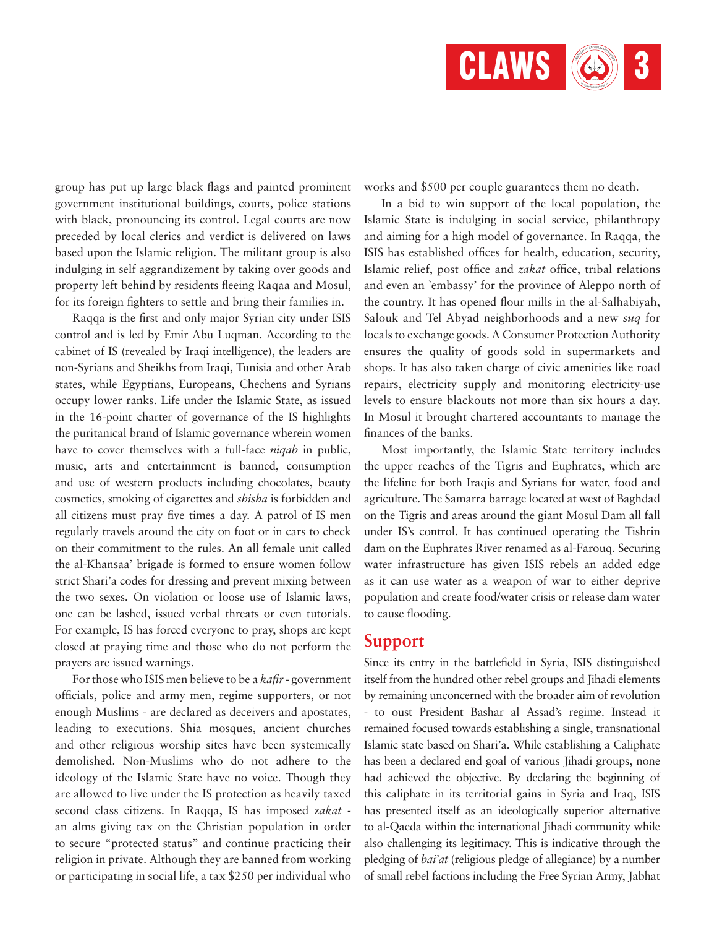

group has put up large black flags and painted prominent government institutional buildings, courts, police stations with black, pronouncing its control. Legal courts are now preceded by local clerics and verdict is delivered on laws based upon the Islamic religion. The militant group is also indulging in self aggrandizement by taking over goods and property left behind by residents fleeing Raqaa and Mosul, for its foreign fighters to settle and bring their families in.

Raqqa is the first and only major Syrian city under ISIS control and is led by Emir Abu Luqman. According to the cabinet of IS (revealed by Iraqi intelligence), the leaders are non-Syrians and Sheikhs from Iraqi, Tunisia and other Arab states, while Egyptians, Europeans, Chechens and Syrians occupy lower ranks. Life under the Islamic State, as issued in the 16-point charter of governance of the IS highlights the puritanical brand of Islamic governance wherein women have to cover themselves with a full-face *niqab* in public, music, arts and entertainment is banned, consumption and use of western products including chocolates, beauty cosmetics, smoking of cigarettes and *shisha* is forbidden and all citizens must pray five times a day. A patrol of IS men regularly travels around the city on foot or in cars to check on their commitment to the rules. An all female unit called the al-Khansaa' brigade is formed to ensure women follow strict Shari'a codes for dressing and prevent mixing between the two sexes. On violation or loose use of Islamic laws, one can be lashed, issued verbal threats or even tutorials. For example, IS has forced everyone to pray, shops are kept closed at praying time and those who do not perform the prayers are issued warnings.

For those who ISIS men believe to be a *kafir* - government officials, police and army men, regime supporters, or not enough Muslims - are declared as deceivers and apostates, leading to executions. Shia mosques, ancient churches and other religious worship sites have been systemically demolished. Non-Muslims who do not adhere to the ideology of the Islamic State have no voice. Though they are allowed to live under the IS protection as heavily taxed second class citizens. In Raqqa, IS has imposed z*akat*  an alms giving tax on the Christian population in order to secure "protected status" and continue practicing their religion in private. Although they are banned from working or participating in social life, a tax \$250 per individual who works and \$500 per couple guarantees them no death.

In a bid to win support of the local population, the Islamic State is indulging in social service, philanthropy and aiming for a high model of governance. In Raqqa, the ISIS has established offices for health, education, security, Islamic relief, post office and *zakat* office, tribal relations and even an `embassy' for the province of Aleppo north of the country. It has opened flour mills in the al-Salhabiyah, Salouk and Tel Abyad neighborhoods and a new *suq* for locals to exchange goods. A Consumer Protection Authority ensures the quality of goods sold in supermarkets and shops. It has also taken charge of civic amenities like road repairs, electricity supply and monitoring electricity-use levels to ensure blackouts not more than six hours a day. In Mosul it brought chartered accountants to manage the finances of the banks.

Most importantly, the Islamic State territory includes the upper reaches of the Tigris and Euphrates, which are the lifeline for both Iraqis and Syrians for water, food and agriculture. The Samarra barrage located at west of Baghdad on the Tigris and areas around the giant Mosul Dam all fall under IS's control. It has continued operating the Tishrin dam on the Euphrates River renamed as al-Farouq. Securing water infrastructure has given ISIS rebels an added edge as it can use water as a weapon of war to either deprive population and create food/water crisis or release dam water to cause flooding.

#### **Support**

Since its entry in the battlefield in Syria, ISIS distinguished itself from the hundred other rebel groups and Jihadi elements by remaining unconcerned with the broader aim of revolution - to oust President Bashar al Assad's regime. Instead it remained focused towards establishing a single, transnational Islamic state based on Shari'a. While establishing a Caliphate has been a declared end goal of various Jihadi groups, none had achieved the objective. By declaring the beginning of this caliphate in its territorial gains in Syria and Iraq, ISIS has presented itself as an ideologically superior alternative to al-Qaeda within the international Jihadi community while also challenging its legitimacy. This is indicative through the pledging of *bai'at* (religious pledge of allegiance) by a number of small rebel factions including the Free Syrian Army, Jabhat